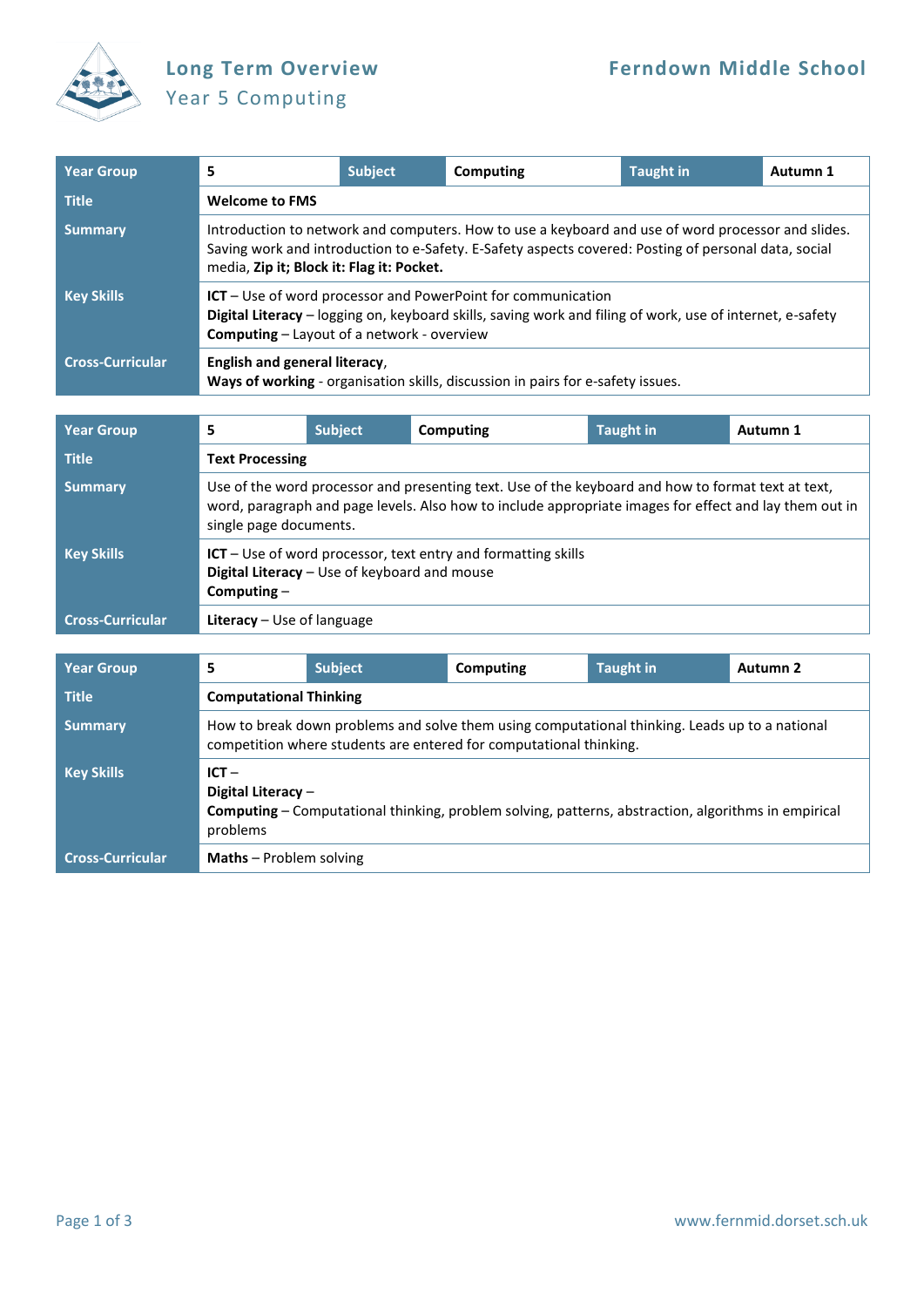

## Year 5 Computing

| <b>Year Group</b>       | 5                                                                                                                                                                                                                                                       | <b>Subject</b> | Computing                                                                       | <b>Taught in</b> | Autumn 1 |  |  |  |
|-------------------------|---------------------------------------------------------------------------------------------------------------------------------------------------------------------------------------------------------------------------------------------------------|----------------|---------------------------------------------------------------------------------|------------------|----------|--|--|--|
| <b>Title</b>            | <b>Welcome to FMS</b>                                                                                                                                                                                                                                   |                |                                                                                 |                  |          |  |  |  |
| <b>Summary</b>          | Introduction to network and computers. How to use a keyboard and use of word processor and slides.<br>Saving work and introduction to e-Safety. E-Safety aspects covered: Posting of personal data, social<br>media, Zip it; Block it: Flag it: Pocket. |                |                                                                                 |                  |          |  |  |  |
| <b>Key Skills</b>       | $ICT - Use of word processor and PowerPoint for communication$<br>Digital Literacy - logging on, keyboard skills, saving work and filing of work, use of internet, e-safety<br><b>Computing</b> - Layout of a network - overview                        |                |                                                                                 |                  |          |  |  |  |
| <b>Cross-Curricular</b> | English and general literacy,                                                                                                                                                                                                                           |                | Ways of working - organisation skills, discussion in pairs for e-safety issues. |                  |          |  |  |  |

| <b>Year Group</b>       | 5                                                                                                                                                                                                                                      | <b>Subject</b> | Computing | <b>Taught in</b> | Autumn 1 |  |
|-------------------------|----------------------------------------------------------------------------------------------------------------------------------------------------------------------------------------------------------------------------------------|----------------|-----------|------------------|----------|--|
| <b>Title</b>            | <b>Text Processing</b>                                                                                                                                                                                                                 |                |           |                  |          |  |
| <b>Summary</b>          | Use of the word processor and presenting text. Use of the keyboard and how to format text at text,<br>word, paragraph and page levels. Also how to include appropriate images for effect and lay them out in<br>single page documents. |                |           |                  |          |  |
| <b>Key Skills</b>       | $ICT$ – Use of word processor, text entry and formatting skills<br>Digital Literacy - Use of keyboard and mouse<br>Computing $-$                                                                                                       |                |           |                  |          |  |
| <b>Cross-Curricular</b> | <b>Literacy</b> $-$ Use of language                                                                                                                                                                                                    |                |           |                  |          |  |

| <b>Year Group</b>       |                                                                                                                                                                      | <b>Subject</b>                | Computing | <b>Taught in</b> | Autumn 2 |  |  |
|-------------------------|----------------------------------------------------------------------------------------------------------------------------------------------------------------------|-------------------------------|-----------|------------------|----------|--|--|
| <b>Title</b>            |                                                                                                                                                                      | <b>Computational Thinking</b> |           |                  |          |  |  |
| <b>Summary</b>          | How to break down problems and solve them using computational thinking. Leads up to a national<br>competition where students are entered for computational thinking. |                               |           |                  |          |  |  |
| <b>Key Skills</b>       | $ICT -$<br>Digital Literacy $-$<br>Computing - Computational thinking, problem solving, patterns, abstraction, algorithms in empirical<br>problems                   |                               |           |                  |          |  |  |
| <b>Cross-Curricular</b> | <b>Maths</b> – Problem solving                                                                                                                                       |                               |           |                  |          |  |  |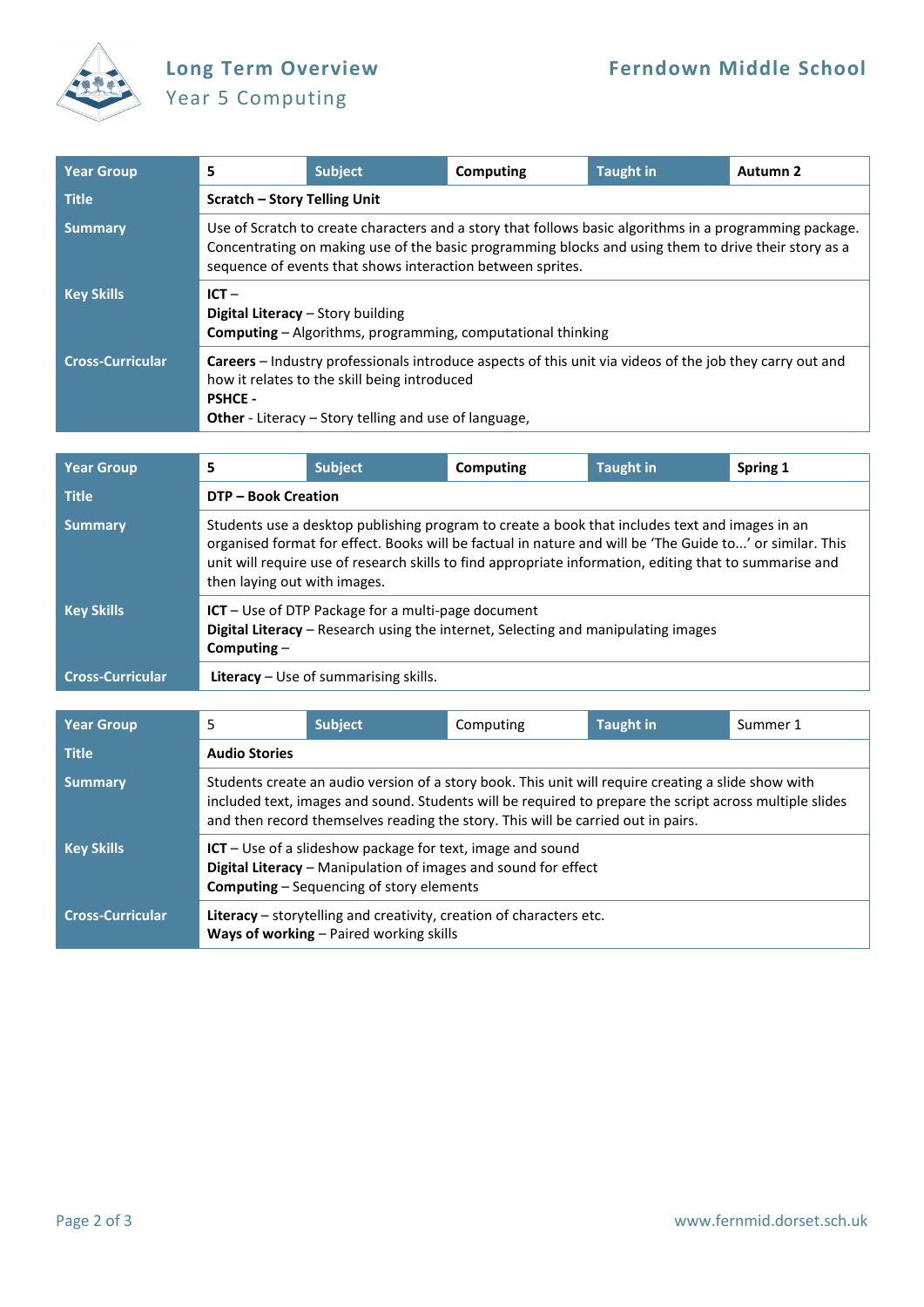

## Year 5 Computing

| <b>Year Group</b>       | 5                                                                                                                                                                                                                                                                             | Subject                             | Computing | <b>Taught in</b> | Autumn 2 |  |  |  |
|-------------------------|-------------------------------------------------------------------------------------------------------------------------------------------------------------------------------------------------------------------------------------------------------------------------------|-------------------------------------|-----------|------------------|----------|--|--|--|
| <b>Title</b>            |                                                                                                                                                                                                                                                                               | <b>Scratch - Story Telling Unit</b> |           |                  |          |  |  |  |
| <b>Summary</b>          | Use of Scratch to create characters and a story that follows basic algorithms in a programming package.<br>Concentrating on making use of the basic programming blocks and using them to drive their story as a<br>sequence of events that shows interaction between sprites. |                                     |           |                  |          |  |  |  |
| <b>Key Skills</b>       | $ICT -$<br>Digital Literacy - Story building<br><b>Computing</b> - Algorithms, programming, computational thinking                                                                                                                                                            |                                     |           |                  |          |  |  |  |
| <b>Cross-Curricular</b> | <b>Careers</b> – Industry professionals introduce aspects of this unit via videos of the job they carry out and<br>how it relates to the skill being introduced<br><b>PSHCE -</b><br><b>Other</b> - Literacy – Story telling and use of language,                             |                                     |           |                  |          |  |  |  |

| <b>Year Group</b>       | 5                                                                                                                                                                                                                                                                                                                                                     | <b>Subject</b>           | Computing | <b>Taught in</b> | Spring 1 |  |  |
|-------------------------|-------------------------------------------------------------------------------------------------------------------------------------------------------------------------------------------------------------------------------------------------------------------------------------------------------------------------------------------------------|--------------------------|-----------|------------------|----------|--|--|
| <b>Title</b>            |                                                                                                                                                                                                                                                                                                                                                       | <b>DTP-Book Creation</b> |           |                  |          |  |  |
| <b>Summary</b>          | Students use a desktop publishing program to create a book that includes text and images in an<br>organised format for effect. Books will be factual in nature and will be 'The Guide to' or similar. This<br>unit will require use of research skills to find appropriate information, editing that to summarise and<br>then laying out with images. |                          |           |                  |          |  |  |
| <b>Key Skills</b>       | ICT - Use of DTP Package for a multi-page document<br>Digital Literacy - Research using the internet, Selecting and manipulating images<br>Computing $-$                                                                                                                                                                                              |                          |           |                  |          |  |  |
| <b>Cross-Curricular</b> | Literacy - Use of summarising skills.                                                                                                                                                                                                                                                                                                                 |                          |           |                  |          |  |  |

| <b>Year Group</b>       | 5                                                                                                                                                                                                                                                                                                  | <b>Subject</b> | Computing | <b>Taught in</b> | Summer 1 |  |
|-------------------------|----------------------------------------------------------------------------------------------------------------------------------------------------------------------------------------------------------------------------------------------------------------------------------------------------|----------------|-----------|------------------|----------|--|
| <b>Title</b>            | <b>Audio Stories</b>                                                                                                                                                                                                                                                                               |                |           |                  |          |  |
| <b>Summary</b>          | Students create an audio version of a story book. This unit will require creating a slide show with<br>included text, images and sound. Students will be required to prepare the script across multiple slides<br>and then record themselves reading the story. This will be carried out in pairs. |                |           |                  |          |  |
| <b>Key Skills</b>       | $ICT$ – Use of a slideshow package for text, image and sound<br>Digital Literacy - Manipulation of images and sound for effect<br><b>Computing</b> – Sequencing of story elements                                                                                                                  |                |           |                  |          |  |
| <b>Cross-Curricular</b> | Literacy - storytelling and creativity, creation of characters etc.<br>Ways of working - Paired working skills                                                                                                                                                                                     |                |           |                  |          |  |